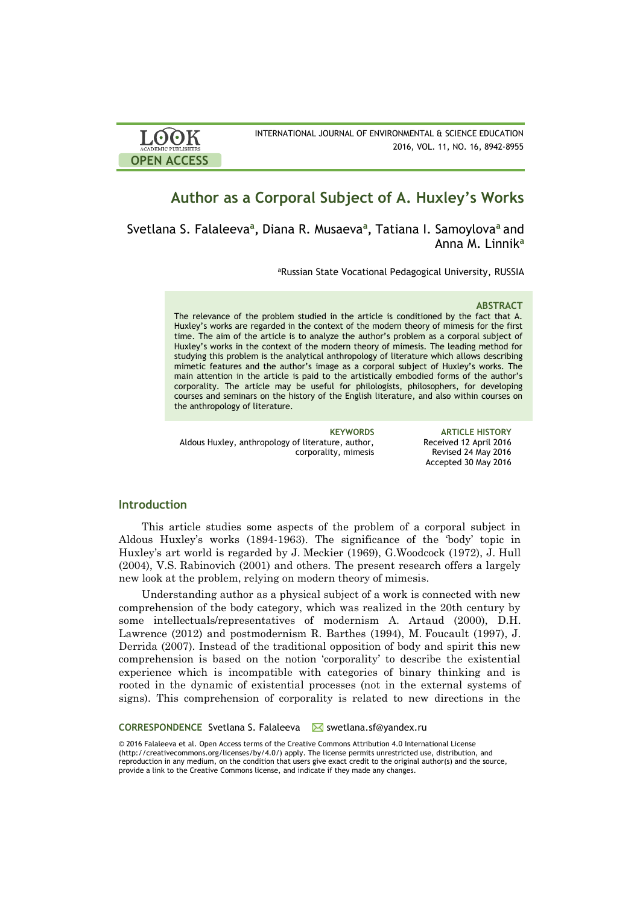| <b>LOOK</b>         | INTERNATIONAL JOURNAL OF ENVIRONMENTAL & SCIENCE EDUCATION |
|---------------------|------------------------------------------------------------|
| ACADEMIC PUBLISHERS | 2016, VOL. 11, NO. 16, 8942-8955                           |
| <b>OPEN ACCESS</b>  |                                                            |

# **Author as a Corporal Subject of A. Huxley's Works**

Svetlana S. Falaleeva**<sup>a</sup> ,** Diana R. Musaeva**<sup>a</sup> ,** Tatiana I. Samoylova**<sup>a</sup>** and Anna M. Linnik**<sup>a</sup>**

aRussian State Vocational Pedagogical University, RUSSIA

#### **ABSTRACT**

The relevance of the problem studied in the article is conditioned by the fact that A. Huxley's works are regarded in the context of the modern theory of mimesis for the first time. The aim of the article is to analyze the author's problem as a corporal subject of Huxley's works in the context of the modern theory of mimesis. The leading method for studying this problem is the analytical anthropology of literature which allows describing mimetic features and the author's image as a corporal subject of Huxley's works. The main attention in the article is paid to the artistically embodied forms of the author's corporality. The article may be useful for philologists, philosophers, for developing courses and seminars on the history of the English literature, and also within courses on the anthropology of literature.

Aldous Huxley, anthropology of literature, author, corporality, mimesis

**KEYWORDS ARTICLE HISTORY** Received 12 April 2016 Revised 24 May 2016 Accepted 30 May 2016

#### **Introduction**

This article studies some aspects of the problem of a corporal subject in Aldous Huxley's works (1894-1963). The significance of the 'body' topic in Huxley's art world is regarded by J. Meckier (1969), G.Woodcock (1972), J. Hull (2004), V.S. Rabinovich (2001) and others. The present research offers a largely new look at the problem, relying on modern theory of mimesis.

Understanding author as a physical subject of a work is connected with new comprehension of the body category, which was realized in the 20th century by some intellectuals/representatives of modernism A. Artaud (2000), D.H. Lawrence (2012) and postmodernism R. Barthes (1994), M. Foucault (1997), J. Derrida (2007). Instead of the traditional opposition of body and spirit this new comprehension is based on the notion 'corporality' to describe the existential experience which is incompatible with categories of binary thinking and is rooted in the dynamic of existential processes (not in the external systems of signs). This comprehension of corporality is related to new directions in the

**CORRESPONDENCE** Svetlana S. Falaleeva ⊠ swetlana.sf@yandex.ru

© 2016 Falaleeva et al. Open Access terms of the Creative Commons Attribution 4.0 International License (http://creativecommons.org/licenses/by/4.0/) apply. The license permits unrestricted use, distribution, and reproduction in any medium, on the condition that users give exact credit to the original author(s) and the source, provide a link to the Creative Commons license, and indicate if they made any changes.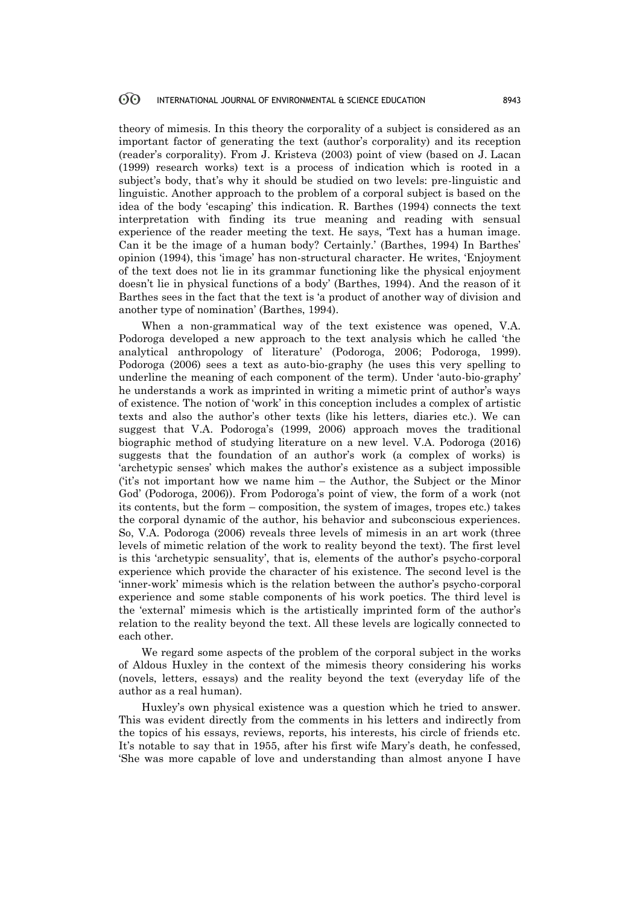theory of mimesis. In this theory the corporality of a subject is considered as an important factor of generating the text (author's corporality) and its reception (reader's corporality). From J. Kristeva (2003) point of view (based on J. Lacan (1999) research works) text is a process of indication which is rooted in a subject's body, that's why it should be studied on two levels: pre-linguistic and linguistic. Another approach to the problem of a corporal subject is based on the idea of the body 'escaping' this indication. R. Barthes (1994) connects the text interpretation with finding its true meaning and reading with sensual experience of the reader meeting the text. He says, 'Text has a human image. Can it be the image of a human body? Certainly.' (Barthes, 1994) In Barthes' opinion (1994), this 'image' has non-structural character. He writes, 'Enjoyment of the text does not lie in its grammar functioning like the physical enjoyment doesn't lie in physical functions of a body' (Barthes, 1994). And the reason of it Barthes sees in the fact that the text is 'a product of another way of division and another type of nomination' (Barthes, 1994).

When a non-grammatical way of the text existence was opened, V.A. Podoroga developed a new approach to the text analysis which he called 'the analytical anthropology of literature' (Podoroga, 2006; Podoroga, 1999). Podoroga (2006) sees a text as auto-bio-graphy (he uses this very spelling to underline the meaning of each component of the term). Under 'auto-bio-graphy' he understands a work as imprinted in writing a mimetic print of author's ways of existence. The notion of 'work' in this conception includes a complex of artistic texts and also the author's other texts (like his letters, diaries etc.). We can suggest that V.A. Podoroga's (1999, 2006) approach moves the traditional biographic method of studying literature on a new level. V.A. Podoroga (2016) suggests that the foundation of an author's work (a complex of works) is 'archetypic senses' which makes the author's existence as a subject impossible ('it's not important how we name him – the Author, the Subject or the Minor God' (Podoroga, 2006)). From Podoroga's point of view, the form of a work (not its contents, but the form – composition, the system of images, tropes etc.) takes the corporal dynamic of the author, his behavior and subconscious experiences. So, V.A. Podoroga (2006) reveals three levels of mimesis in an art work (three levels of mimetic relation of the work to reality beyond the text). The first level is this 'archetypic sensuality', that is, elements of the author's psycho-corporal experience which provide the character of his existence. The second level is the 'inner-work' mimesis which is the relation between the author's psycho-corporal experience and some stable components of his work poetics. The third level is the 'external' mimesis which is the artistically imprinted form of the author's relation to the reality beyond the text. All these levels are logically connected to each other.

We regard some aspects of the problem of the corporal subject in the works of Aldous Huxley in the context of the mimesis theory considering his works (novels, letters, essays) and the reality beyond the text (everyday life of the author as a real human).

Huxley's own physical existence was a question which he tried to answer. This was evident directly from the comments in his letters and indirectly from the topics of his essays, reviews, reports, his interests, his circle of friends etc. It's notable to say that in 1955, after his first wife Mary's death, he confessed, 'She was more capable of love and understanding than almost anyone I have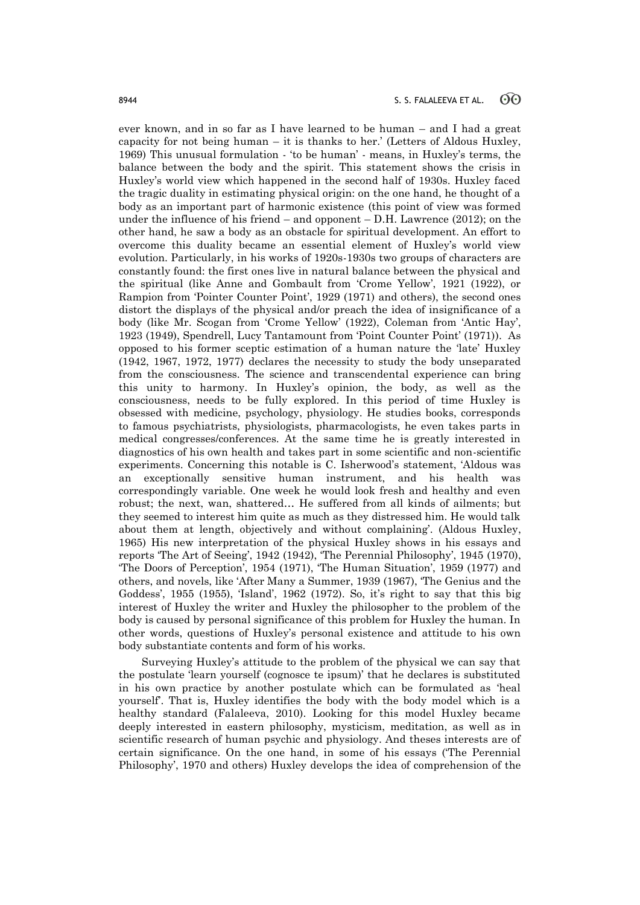ever known, and in so far as I have learned to be human – and I had a great capacity for not being human – it is thanks to her.' (Letters of Aldous Huxley, 1969) This unusual formulation - 'to be human' - means, in Huxley's terms, the balance between the body and the spirit. This statement shows the crisis in Huxley's world view which happened in the second half of 1930s. Huxley faced the tragic duality in estimating physical origin: on the one hand, he thought of a body as an important part of harmonic existence (this point of view was formed under the influence of his friend – and opponent – D.H. Lawrence (2012); on the other hand, he saw a body as an obstacle for spiritual development. An effort to overcome this duality became an essential element of Huxley's world view evolution. Particularly, in his works of 1920s-1930s two groups of characters are constantly found: the first ones live in natural balance between the physical and the spiritual (like Anne and Gombault from 'Crome Yellow', 1921 (1922), or Rampion from 'Pointer Counter Point', 1929 (1971) and others), the second ones distort the displays of the physical and/or preach the idea of insignificance of a body (like Mr. Scogan from 'Crome Yellow' (1922), Coleman from 'Antic Hay', 1923 (1949), Spendrell, Lucy Tantamount from 'Point Counter Point' (1971)). As opposed to his former sceptic estimation of a human nature the 'late' Huxley (1942, 1967, 1972, 1977) declares the necessity to study the body unseparated from the consciousness. The science and transcendental experience can bring this unity to harmony. In Huxley's opinion, the body, as well as the consciousness, needs to be fully explored. In this period of time Huxley is obsessed with medicine, psychology, physiology. He studies books, corresponds to famous psychiatrists, physiologists, pharmacologists, he even takes parts in medical congresses/conferences. At the same time he is greatly interested in diagnostics of his own health and takes part in some scientific and non-scientific experiments. Concerning this notable is C. Isherwood's statement, 'Aldous was an exceptionally sensitive human instrument, and his health was correspondingly variable. One week he would look fresh and healthy and even robust; the next, wan, shattered… He suffered from all kinds of ailments; but they seemed to interest him quite as much as they distressed him. He would talk about them at length, objectively and without complaining'. (Aldous Huxley, 1965) His new interpretation of the physical Huxley shows in his essays and reports 'The Art of Seeing', 1942 (1942), 'The Perennial Philosophy', 1945 (1970), 'The Doors of Perception', 1954 (1971), 'The Human Situation', 1959 (1977) and others, and novels, like 'After Many a Summer, 1939 (1967), 'The Genius and the Goddess', 1955 (1955), 'Island', 1962 (1972). So, it's right to say that this big interest of Huxley the writer and Huxley the philosopher to the problem of the body is caused by personal significance of this problem for Huxley the human. In other words, questions of Huxley's personal existence and attitude to his own body substantiate contents and form of his works.

Surveying Huxley's attitude to the problem of the physical we can say that the postulate 'learn yourself (cognosce te ipsum)' that he declares is substituted in his own practice by another postulate which can be formulated as 'heal yourself'. That is, Huxley identifies the body with the body model which is a healthy standard (Falaleeva, 2010). Looking for this model Huxley became deeply interested in eastern philosophy, mysticism, meditation, as well as in scientific research of human psychic and physiology. And theses interests are of certain significance. On the one hand, in some of his essays ('The Perennial Philosophy', 1970 and others) Huxley develops the idea of comprehension of the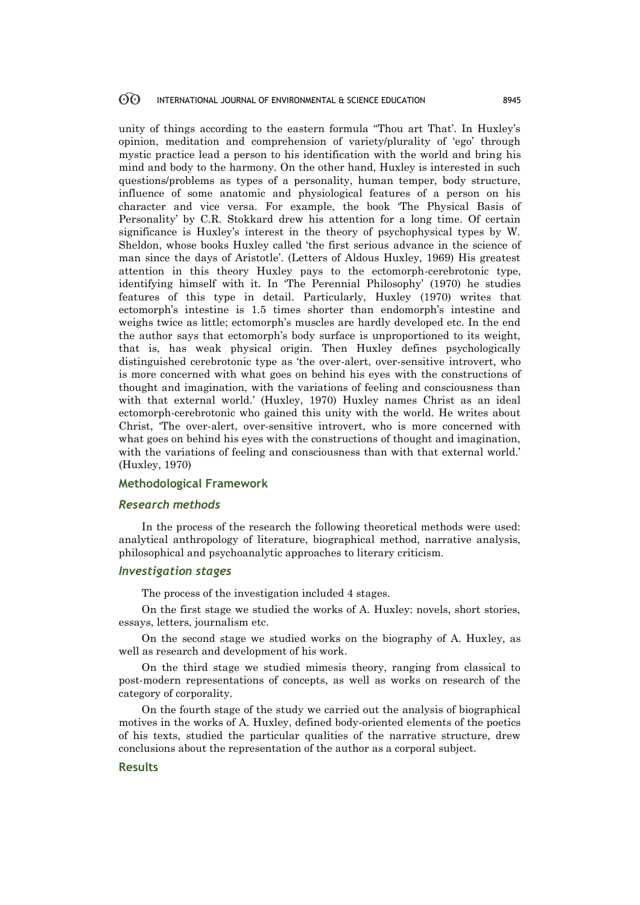unity of things according to the eastern formula "Thou art That'. In Huxley's opinion, meditation and comprehension of variety/plurality of 'ego' through mystic practice lead a person to his identification with the world and bring his mind and body to the harmony. On the other hand, Huxley is interested in such questions/problems as types of a personality, human temper, body structure, influence of some anatomic and physiological features of a person on his character and vice versa. For example, the book 'The Physical Basis of Personality' by C.R. Stokkard drew his attention for a long time. Of certain significance is Huxley's interest in the theory of psychophysical types by W. Sheldon, whose books Huxley called 'the first serious advance in the science of man since the days of Aristotle'. (Letters of Aldous Huxley, 1969) His greatest attention in this theory Huxley pays to the ectomorph-cerebrotonic type, identifying himself with it. In 'The Perennial Philosophy' (1970) he studies features of this type in detail. Particularly, Huxley (1970) writes that ectomorph's intestine is 1.5 times shorter than endomorph's intestine and weighs twice as little; ectomorph's muscles are hardly developed etc. In the end the author says that ectomorph's body surface is unproportioned to its weight, that is, has weak physical origin. Then Huxley defines psychologically distinguished cerebrotonic type as 'the over-alert, over-sensitive introvert, who is more concerned with what goes on behind his eyes with the constructions of thought and imagination, with the variations of feeling and consciousness than with that external world.' (Huxley, 1970) Huxley names Christ as an ideal ectomorph-cerebrotonic who gained this unity with the world. He writes about Christ, 'The over-alert, over-sensitive introvert, who is more concerned with what goes on behind his eyes with the constructions of thought and imagination, with the variations of feeling and consciousness than with that external world.' (Huxley, 1970)

### **Methodological Framework**

#### *Research methods*

In the process of the research the following theoretical methods were used: analytical anthropology of literature, biographical method, narrative analysis, philosophical and psychoanalytic approaches to literary criticism.

#### *Investigation stages*

The process of the investigation included 4 stages.

On the first stage we studied the works of A. Huxley: novels, short stories, essays, letters, journalism etc.

On the second stage we studied works on the biography of A. Huxley, as well as research and development of his work.

On the third stage we studied mimesis theory, ranging from classical to post-modern representations of concepts, as well as works on research of the category of corporality.

On the fourth stage of the study we carried out the analysis of biographical motives in the works of A. Huxley, defined body-oriented elements of the poetics of his texts, studied the particular qualities of the narrative structure, drew conclusions about the representation of the author as a corporal subject.

#### **Results**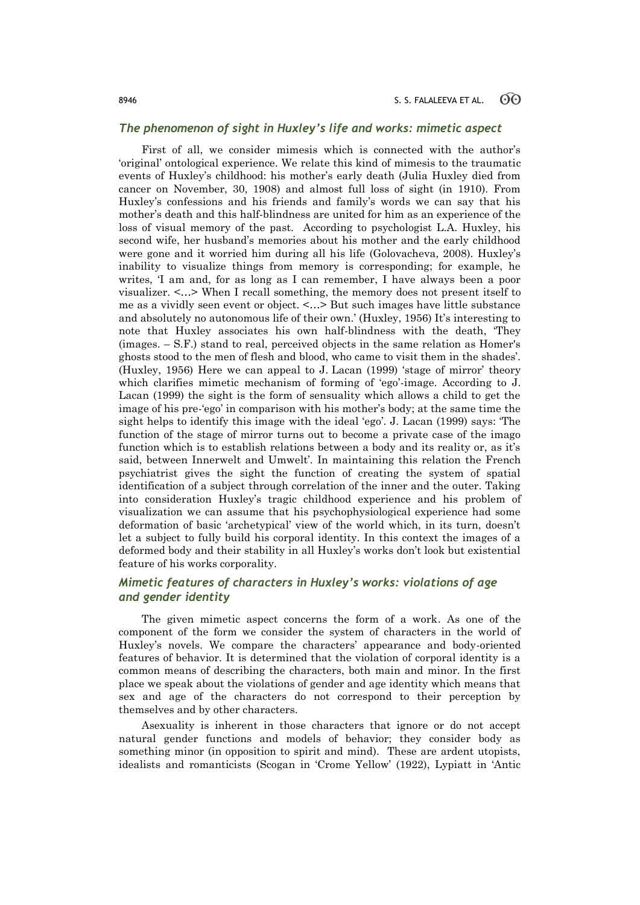#### *The phenomenon of sight in Huxley's life and works: mimetic aspect*

First of all, we consider mimesis which is connected with the author's 'original' ontological experience. We relate this kind of mimesis to the traumatic events of Huxley's childhood: his mother's early death (Julia Huxley died from cancer on November, 30, 1908) and almost full loss of sight (in 1910). From Huxley's confessions and his friends and family's words we can say that his mother's death and this half-blindness are united for him as an experience of the loss of visual memory of the past. According to psychologist L.A. Huxley, his second wife, her husband's memories about his mother and the early childhood were gone and it worried him during all his life (Golovacheva, 2008). Huxley's inability to visualize things from memory is corresponding; for example, he writes, 'I am and, for as long as I can remember, I have always been a poor visualizer. <…> When I recall something, the memory does not present itself to me as a vividly seen event or object. <…> But such images have little substance and absolutely no autonomous life of their own.' (Huxley, 1956) It's interesting to note that Huxley associates his own half-blindness with the death, 'They (images. – S.F.) stand to real, perceived objects in the same relation as Homer's ghosts stood to the men of flesh and blood, who came to visit them in the shades'. (Huxley, 1956) Here we can appeal to J. Lacan (1999) 'stage of mirror' theory which clarifies mimetic mechanism of forming of 'ego'-image. According to J. Lacan (1999) the sight is the form of sensuality which allows a child to get the image of his pre-'ego' in comparison with his mother's body; at the same time the sight helps to identify this image with the ideal 'ego'. J. Lacan (1999) says: 'The function of the stage of mirror turns out to become a private case of the imago function which is to establish relations between a body and its reality or, as it's said, between Innerwelt and Umwelt'. In maintaining this relation the French psychiatrist gives the sight the function of creating the system of spatial identification of a subject through correlation of the inner and the outer. Taking into consideration Huxley's tragic childhood experience and his problem of visualization we can assume that his psychophysiological experience had some deformation of basic 'archetypical' view of the world which, in its turn, doesn't let a subject to fully build his corporal identity. In this context the images of a deformed body and their stability in all Huxley's works don't look but existential feature of his works corporality.

## *Mimetic features of characters in Huxley's works: violations of age and gender identity*

The given mimetic aspect concerns the form of a work. As one of the component of the form we consider the system of characters in the world of Huxley's novels. We compare the characters' appearance and body-oriented features of behavior. It is determined that the violation of corporal identity is a common means of describing the characters, both main and minor. In the first place we speak about the violations of gender and age identity which means that sex and age of the characters do not correspond to their perception by themselves and by other characters.

Asexuality is inherent in those characters that ignore or do not accept natural gender functions and models of behavior; they consider body as something minor (in opposition to spirit and mind). These are ardent utopists, idealists and romanticists (Scogan in 'Crome Yellow' (1922), Lypiatt in 'Antic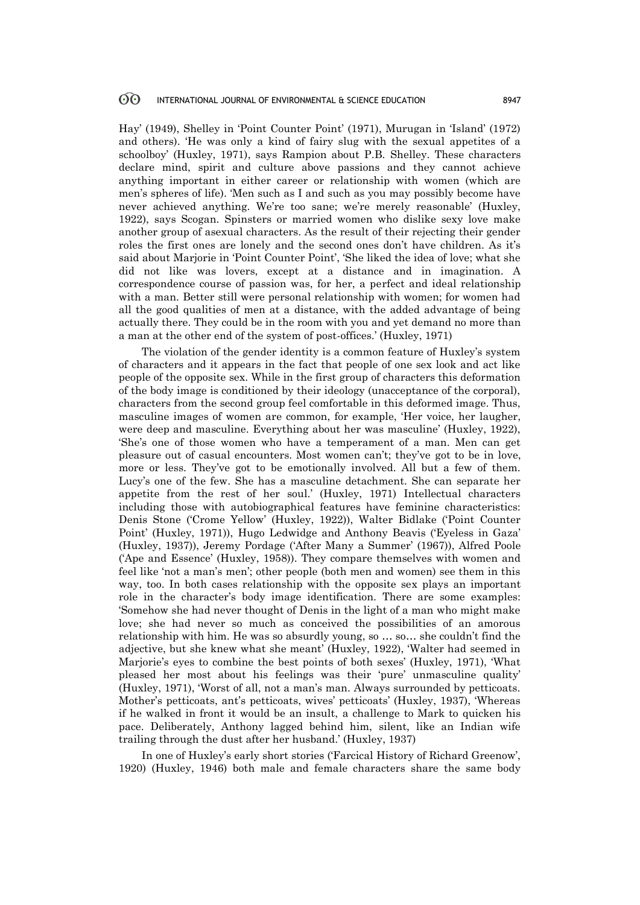Hay' (1949), Shelley in 'Point Counter Point' (1971), Murugan in 'Island' (1972) and others). 'He was only a kind of fairy slug with the sexual appetites of a schoolboy' (Huxley, 1971), says Rampion about P.B. Shelley. These characters declare mind, spirit and culture above passions and they cannot achieve anything important in either career or relationship with women (which are men's spheres of life). 'Men such as I and such as you may possibly become have never achieved anything. We're too sane; we're merely reasonable' (Huxley, 1922), says Scogan. Spinsters or married women who dislike sexy love make another group of asexual characters. As the result of their rejecting their gender roles the first ones are lonely and the second ones don't have children. As it's said about Marjorie in 'Point Counter Point', 'She liked the idea of love; what she did not like was lovers, except at a distance and in imagination. A correspondence course of passion was, for her, a perfect and ideal relationship with a man. Better still were personal relationship with women; for women had all the good qualities of men at a distance, with the added advantage of being actually there. They could be in the room with you and yet demand no more than a man at the other end of the system of post-offices.' (Huxley, 1971)

The violation of the gender identity is a common feature of Huxley's system of characters and it appears in the fact that people of one sex look and act like people of the opposite sex. While in the first group of characters this deformation of the body image is conditioned by their ideology (unacceptance of the corporal), characters from the second group feel comfortable in this deformed image. Thus, masculine images of women are common, for example, 'Her voice, her laugher, were deep and masculine. Everything about her was masculine' (Huxley, 1922), 'She's one of those women who have a temperament of a man. Men can get pleasure out of casual encounters. Most women can't; they've got to be in love, more or less. They've got to be emotionally involved. All but a few of them. Lucy's one of the few. She has a masculine detachment. She can separate her appetite from the rest of her soul.' (Huxley, 1971) Intellectual characters including those with autobiographical features have feminine characteristics: Denis Stone ('Crome Yellow' (Huxley, 1922)), Walter Bidlake ('Point Counter Point' (Huxley, 1971)), Hugo Ledwidge and Anthony Beavis ('Eyeless in Gaza' (Huxley, 1937)), Jeremy Pordage ('After Many a Summer' (1967)), Alfred Poole ('Ape and Essence' (Huxley, 1958)). They compare themselves with women and feel like 'not a man's men'; other people (both men and women) see them in this way, too. In both cases relationship with the opposite sex plays an important role in the character's body image identification. There are some examples: 'Somehow she had never thought of Denis in the light of a man who might make love; she had never so much as conceived the possibilities of an amorous relationship with him. He was so absurdly young, so … so… she couldn't find the adjective, but she knew what she meant' (Huxley, 1922), 'Walter had seemed in Marjorie's eyes to combine the best points of both sexes' (Huxley, 1971), 'What pleased her most about his feelings was their 'pure' unmasculine quality' (Huxley, 1971), 'Worst of all, not a man's man. Always surrounded by petticoats. Mother's petticoats, ant's petticoats, wives' petticoats' (Huxley, 1937), 'Whereas if he walked in front it would be an insult, a challenge to Mark to quicken his pace. Deliberately, Anthony lagged behind him, silent, like an Indian wife trailing through the dust after her husband.' (Huxley, 1937)

In one of Huxley's early short stories ('Farcical History of Richard Greenow', 1920) (Huxley, 1946) both male and female characters share the same body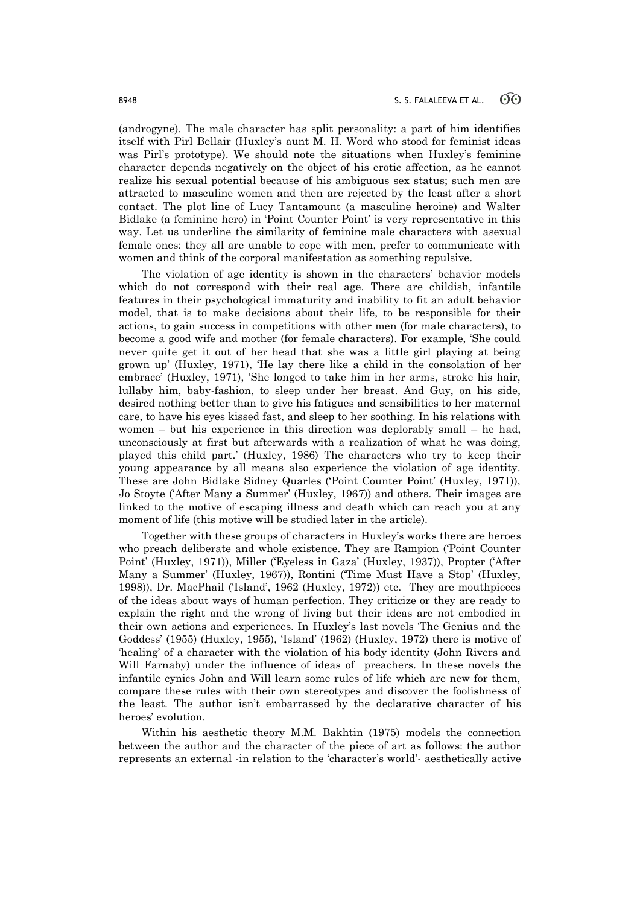(androgyne). The male character has split personality: a part of him identifies itself with Pirl Bellair (Huxley's aunt M. H. Word who stood for feminist ideas was Pirl's prototype). We should note the situations when Huxley's feminine character depends negatively on the object of his erotic affection, as he cannot realize his sexual potential because of his ambiguous sex status; such men are attracted to masculine women and then are rejected by the least after a short contact. The plot line of Lucy Tantamount (a masculine heroine) and Walter Bidlake (a feminine hero) in 'Point Counter Point' is very representative in this way. Let us underline the similarity of feminine male characters with asexual female ones: they all are unable to cope with men, prefer to communicate with women and think of the corporal manifestation as something repulsive.

The violation of age identity is shown in the characters' behavior models which do not correspond with their real age. There are childish, infantile features in their psychological immaturity and inability to fit an adult behavior model, that is to make decisions about their life, to be responsible for their actions, to gain success in competitions with other men (for male characters), to become a good wife and mother (for female characters). For example, 'She could never quite get it out of her head that she was a little girl playing at being grown up' (Huxley, 1971), 'He lay there like a child in the consolation of her embrace' (Huxley, 1971), 'She longed to take him in her arms, stroke his hair, lullaby him, baby-fashion, to sleep under her breast. And Guy, on his side, desired nothing better than to give his fatigues and sensibilities to her maternal care, to have his eyes kissed fast, and sleep to her soothing. In his relations with women – but his experience in this direction was deplorably small – he had, unconsciously at first but afterwards with a realization of what he was doing, played this child part.' (Huxley, 1986) The characters who try to keep their young appearance by all means also experience the violation of age identity. These are John Bidlake Sidney Quarles ('Point Counter Point' (Huxley, 1971)), Jo Stoyte ('After Many a Summer' (Huxley, 1967)) and others. Their images are linked to the motive of escaping illness and death which can reach you at any moment of life (this motive will be studied later in the article).

Together with these groups of characters in Huxley's works there are heroes who preach deliberate and whole existence. They are Rampion ('Point Counter Point' (Huxley, 1971)), Miller ('Eyeless in Gaza' (Huxley, 1937)), Propter ('After Many a Summer' (Huxley, 1967)), Rontini ('Time Must Have a Stop' (Huxley, 1998)), Dr. MacPhail ('Island', 1962 (Huxley, 1972)) etc. They are mouthpieces of the ideas about ways of human perfection. They criticize or they are ready to explain the right and the wrong of living but their ideas are not embodied in their own actions and experiences. In Huxley's last novels 'The Genius and the Goddess' (1955) (Huxley, 1955), 'Island' (1962) (Huxley, 1972) there is motive of 'healing' of a character with the violation of his body identity (John Rivers and Will Farnaby) under the influence of ideas of preachers. In these novels the infantile cynics John and Will learn some rules of life which are new for them, compare these rules with their own stereotypes and discover the foolishness of the least. The author isn't embarrassed by the declarative character of his heroes' evolution.

Within his aesthetic theory M.M. Bakhtin (1975) models the connection between the author and the character of the piece of art as follows: the author represents an external -in relation to the 'character's world'- aesthetically active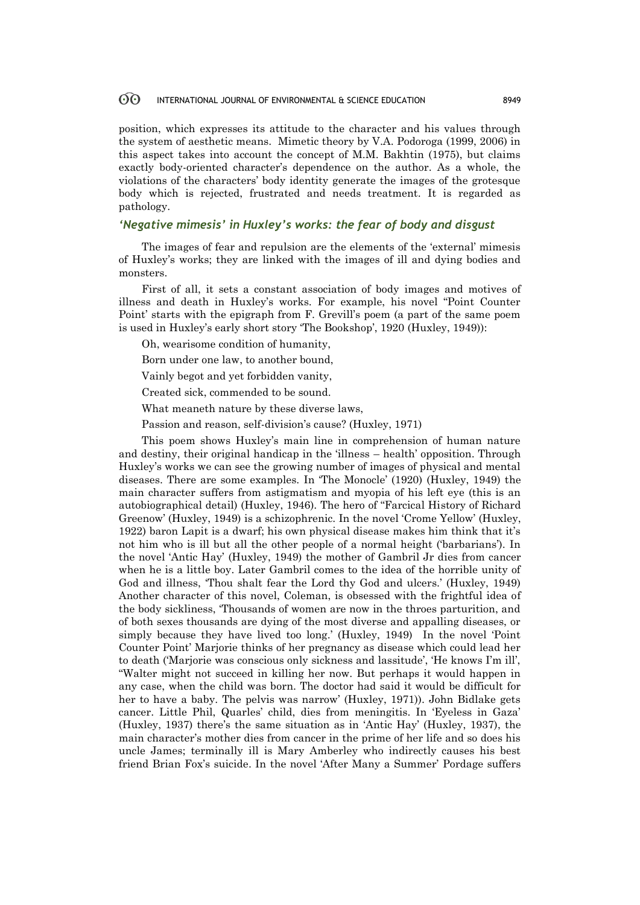#### 60 INTERNATIONAL JOURNAL OF ENVIRONMENTAL & SCIENCE EDUCATION 8949

position, which expresses its attitude to the character and his values through the system of aesthetic means. Mimetic theory by V.A. Podoroga (1999, 2006) in this aspect takes into account the concept of M.M. Bakhtin (1975), but claims exactly body-oriented character's dependence on the author. As a whole, the violations of the characters' body identity generate the images of the grotesque body which is rejected, frustrated and needs treatment. It is regarded as pathology.

#### *'Negative mimesis' in Huxley's works: the fear of body and disgust*

The images of fear and repulsion are the elements of the 'external' mimesis of Huxley's works; they are linked with the images of ill and dying bodies and monsters.

First of all, it sets a constant association of body images and motives of illness and death in Huxley's works. For example, his novel "Point Counter Point' starts with the epigraph from F. Grevill's poem (a part of the same poem is used in Huxley's early short story 'The Bookshop', 1920 (Huxley, 1949)):

- Oh, wearisome condition of humanity,
- Born under one law, to another bound,
- Vainly begot and yet forbidden vanity,
- Created sick, commended to be sound.
- What meaneth nature by these diverse laws,
- Passion and reason, self-division's cause? (Huxley, 1971)

This poem shows Huxley's main line in comprehension of human nature and destiny, their original handicap in the 'illness – health' opposition. Through Huxley's works we can see the growing number of images of physical and mental diseases. There are some examples. In 'The Monocle' (1920) (Huxley, 1949) the main character suffers from astigmatism and myopia of his left eye (this is an autobiographical detail) (Huxley, 1946). The hero of "Farcical History of Richard Greenow' (Huxley, 1949) is a schizophrenic. In the novel 'Crome Yellow' (Huxley, 1922) baron Lapit is a dwarf; his own physical disease makes him think that it's not him who is ill but all the other people of a normal height ('barbarians'). In the novel 'Antic Hay' (Huxley, 1949) the mother of Gambril Jr dies from cancer when he is a little boy. Later Gambril comes to the idea of the horrible unity of God and illness, 'Thou shalt fear the Lord thy God and ulcers.' (Huxley, 1949) Another character of this novel, Coleman, is obsessed with the frightful idea of the body sickliness, 'Thousands of women are now in the throes parturition, and of both sexes thousands are dying of the most diverse and appalling diseases, or simply because they have lived too long.' (Huxley, 1949) In the novel 'Point Counter Point' Marjorie thinks of her pregnancy as disease which could lead her to death ('Marjorie was conscious only sickness and lassitude', 'He knows I'm ill', "Walter might not succeed in killing her now. But perhaps it would happen in any case, when the child was born. The doctor had said it would be difficult for her to have a baby. The pelvis was narrow' (Huxley, 1971)). John Bidlake gets cancer. Little Phil, Quarles' child, dies from meningitis. In 'Eyeless in Gaza' (Huxley, 1937) there's the same situation as in 'Antic Hay' (Huxley, 1937), the main character's mother dies from cancer in the prime of her life and so does his uncle James; terminally ill is Mary Amberley who indirectly causes his best friend Brian Fox's suicide. In the novel 'After Many a Summer' Pordage suffers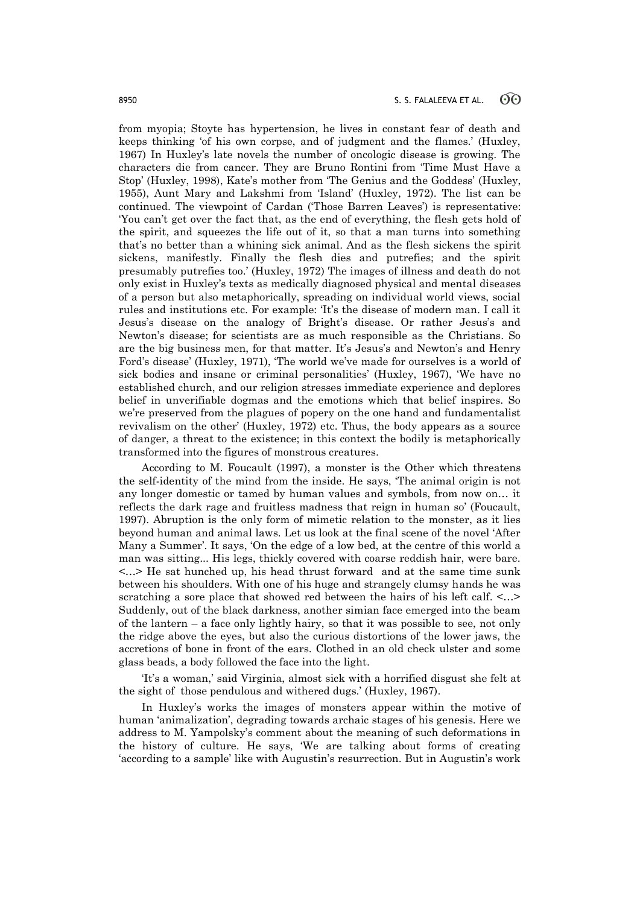from myopia; Stoyte has hypertension, he lives in constant fear of death and keeps thinking 'of his own corpse, and of judgment and the flames.' (Huxley, 1967) In Huxley's late novels the number of oncologic disease is growing. The characters die from cancer. They are Bruno Rontini from 'Time Must Have a Stop' (Huxley, 1998), Kate's mother from 'The Genius and the Goddess' (Huxley, 1955), Aunt Mary and Lakshmi from 'Island' (Huxley, 1972). The list can be continued. The viewpoint of Cardan ('Those Barren Leaves') is representative: 'You can't get over the fact that, as the end of everything, the flesh gets hold of the spirit, and squeezes the life out of it, so that a man turns into something that's no better than a whining sick animal. And as the flesh sickens the spirit sickens, manifestly. Finally the flesh dies and putrefies; and the spirit presumably putrefies too.' (Huxley, 1972) The images of illness and death do not only exist in Huxley's texts as medically diagnosed physical and mental diseases of a person but also metaphorically, spreading on individual world views, social rules and institutions etc. For example: 'It's the disease of modern man. I call it Jesus's disease on the analogy of Bright's disease. Or rather Jesus's and Newton's disease; for scientists are as much responsible as the Christians. So are the big business men, for that matter. It's Jesus's and Newton's and Henry Ford's disease' (Huxley, 1971), 'The world we've made for ourselves is a world of sick bodies and insane or criminal personalities' (Huxley, 1967), 'We have no established church, and our religion stresses immediate experience and deplores belief in unverifiable dogmas and the emotions which that belief inspires. So we're preserved from the plagues of popery on the one hand and fundamentalist revivalism on the other' (Huxley, 1972) etc. Thus, the body appears as a source of danger, a threat to the existence; in this context the bodily is metaphorically transformed into the figures of monstrous creatures.

According to M. Foucault (1997), a monster is the Other which threatens the self-identity of the mind from the inside. He says, 'The animal origin is not any longer domestic or tamed by human values and symbols, from now on… it reflects the dark rage and fruitless madness that reign in human so' (Foucault, 1997). Abruption is the only form of mimetic relation to the monster, as it lies beyond human and animal laws. Let us look at the final scene of the novel 'After Many a Summer'. It says, 'On the edge of a low bed, at the centre of this world a man was sitting... His legs, thickly covered with coarse reddish hair, were bare. <…> He sat hunched up, his head thrust forward and at the same time sunk between his shoulders. With one of his huge and strangely clumsy hands he was scratching a sore place that showed red between the hairs of his left calf.  $\langle \ldots \rangle$ Suddenly, out of the black darkness, another simian face emerged into the beam of the lantern – a face only lightly hairy, so that it was possible to see, not only the ridge above the eyes, but also the curious distortions of the lower jaws, the accretions of bone in front of the ears. Clothed in an old check ulster and some glass beads, a body followed the face into the light.

'It's a woman,' said Virginia, almost sick with a horrified disgust she felt at the sight of those pendulous and withered dugs.' (Huxley, 1967).

In Huxley's works the images of monsters appear within the motive of human 'animalization', degrading towards archaic stages of his genesis. Here we address to M. Yampolsky's comment about the meaning of such deformations in the history of culture. He says, 'We are talking about forms of creating 'according to a sample' like with Augustin's resurrection. But in Augustin's work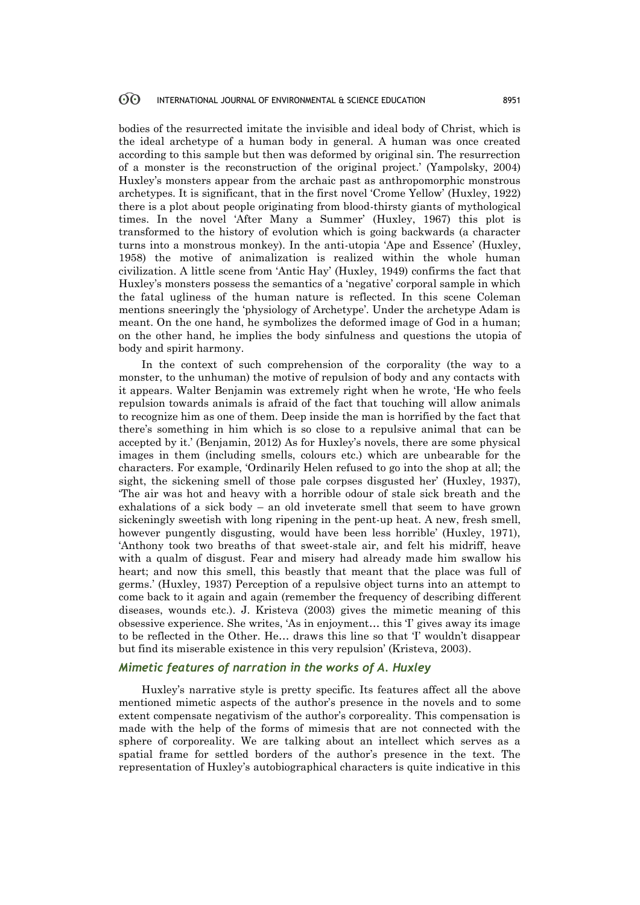#### $60^{\circ}$ INTERNATIONAL JOURNAL OF ENVIRONMENTAL & SCIENCE EDUCATION 8951

bodies of the resurrected imitate the invisible and ideal body of Christ, which is the ideal archetype of a human body in general. A human was once created according to this sample but then was deformed by original sin. The resurrection of a monster is the reconstruction of the original project.' (Yampolsky, 2004) Huxley's monsters appear from the archaic past as anthropomorphic monstrous archetypes. It is significant, that in the first novel 'Crome Yellow' (Huxley, 1922) there is a plot about people originating from blood-thirsty giants of mythological times. In the novel 'After Many a Summer' (Huxley, 1967) this plot is transformed to the history of evolution which is going backwards (a character turns into a monstrous monkey). In the anti-utopia 'Ape and Essence' (Huxley, 1958) the motive of animalization is realized within the whole human civilization. A little scene from 'Antic Hay' (Huxley, 1949) confirms the fact that Huxley's monsters possess the semantics of a 'negative' corporal sample in which the fatal ugliness of the human nature is reflected. In this scene Coleman mentions sneeringly the 'physiology of Archetype'. Under the archetype Adam is meant. On the one hand, he symbolizes the deformed image of God in a human; on the other hand, he implies the body sinfulness and questions the utopia of body and spirit harmony.

In the context of such comprehension of the corporality (the way to a monster, to the unhuman) the motive of repulsion of body and any contacts with it appears. Walter Benjamin was extremely right when he wrote, 'He who feels repulsion towards animals is afraid of the fact that touching will allow animals to recognize him as one of them. Deep inside the man is horrified by the fact that there's something in him which is so close to a repulsive animal that can be accepted by it.' (Benjamin, 2012) As for Huxley's novels, there are some physical images in them (including smells, colours etc.) which are unbearable for the characters. For example, 'Ordinarily Helen refused to go into the shop at all; the sight, the sickening smell of those pale corpses disgusted her' (Huxley, 1937), 'The air was hot and heavy with a horrible odour of stale sick breath and the exhalations of a sick body – an old inveterate smell that seem to have grown sickeningly sweetish with long ripening in the pent-up heat. A new, fresh smell, however pungently disgusting, would have been less horrible' (Huxley, 1971), 'Anthony took two breaths of that sweet-stale air, and felt his midriff, heave with a qualm of disgust. Fear and misery had already made him swallow his heart; and now this smell, this beastly that meant that the place was full of germs.' (Huxley, 1937) Perception of a repulsive object turns into an attempt to come back to it again and again (remember the frequency of describing different diseases, wounds etc.). J. Kristeva (2003) gives the mimetic meaning of this obsessive experience. She writes, 'As in enjoyment… this 'I' gives away its image to be reflected in the Other. He… draws this line so that 'I' wouldn't disappear but find its miserable existence in this very repulsion' (Kristeva, 2003).

### *Mimetic features of narration in the works of A. Huxley*

Huxley's narrative style is pretty specific. Its features affect all the above mentioned mimetic aspects of the author's presence in the novels and to some extent compensate negativism of the author's corporeality. This compensation is made with the help of the forms of mimesis that are not connected with the sphere of corporeality. We are talking about an intellect which serves as a spatial frame for settled borders of the author's presence in the text. The representation of Huxley's autobiographical characters is quite indicative in this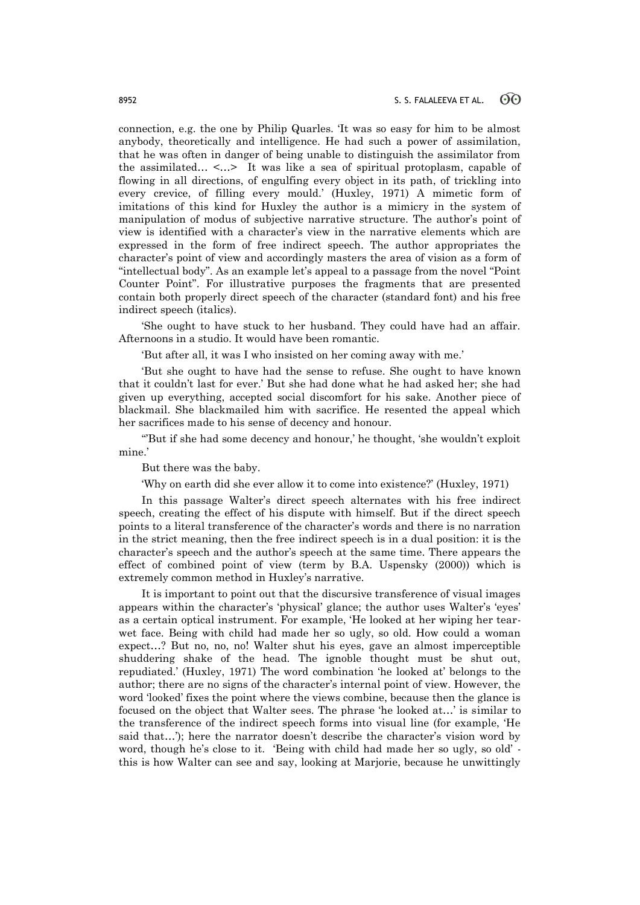connection, e.g. the one by Philip Quarles. 'It was so easy for him to be almost anybody, theoretically and intelligence. He had such a power of assimilation, that he was often in danger of being unable to distinguish the assimilator from the assimilated… <…> It was like a sea of spiritual protoplasm, capable of flowing in all directions, of engulfing every object in its path, of trickling into every crevice, of filling every mould.' (Huxley, 1971) A mimetic form of imitations of this kind for Huxley the author is a mimicry in the system of manipulation of modus of subjective narrative structure. The author's point of view is identified with a character's view in the narrative elements which are expressed in the form of free indirect speech. The author appropriates the character's point of view and accordingly masters the area of vision as a form of "intellectual body". As an example let's appeal to a passage from the novel "Point Counter Point". For illustrative purposes the fragments that are presented contain both properly direct speech of the character (standard font) and his free indirect speech (italics).

'She ought to have stuck to her husband. They could have had an affair. Afternoons in a studio. It would have been romantic.

'But after all, it was I who insisted on her coming away with me.'

'But she ought to have had the sense to refuse. She ought to have known that it couldn't last for ever.' But she had done what he had asked her; she had given up everything, accepted social discomfort for his sake. Another piece of blackmail. She blackmailed him with sacrifice. He resented the appeal which her sacrifices made to his sense of decency and honour.

"But if she had some decency and honour,' he thought, 'she wouldn't exploit mine.'

But there was the baby.

'Why on earth did she ever allow it to come into existence?' (Huxley, 1971)

In this passage Walter's direct speech alternates with his free indirect speech, creating the effect of his dispute with himself. But if the direct speech points to a literal transference of the character's words and there is no narration in the strict meaning, then the free indirect speech is in a dual position: it is the character's speech and the author's speech at the same time. There appears the effect of combined point of view (term by B.A. Uspensky (2000)) which is extremely common method in Huxley's narrative.

It is important to point out that the discursive transference of visual images appears within the character's 'physical' glance; the author uses Walter's 'eyes' as a certain optical instrument. For example, 'He looked at her wiping her tearwet face. Being with child had made her so ugly, so old. How could a woman expect…? But no, no, no! Walter shut his eyes, gave an almost imperceptible shuddering shake of the head. The ignoble thought must be shut out, repudiated.' (Huxley, 1971) The word combination 'he looked at' belongs to the author; there are no signs of the character's internal point of view. However, the word 'looked' fixes the point where the views combine, because then the glance is focused on the object that Walter sees. The phrase 'he looked at…' is similar to the transference of the indirect speech forms into visual line (for example, 'He said that…'); here the narrator doesn't describe the character's vision word by word, though he's close to it. 'Being with child had made her so ugly, so old' this is how Walter can see and say, looking at Marjorie, because he unwittingly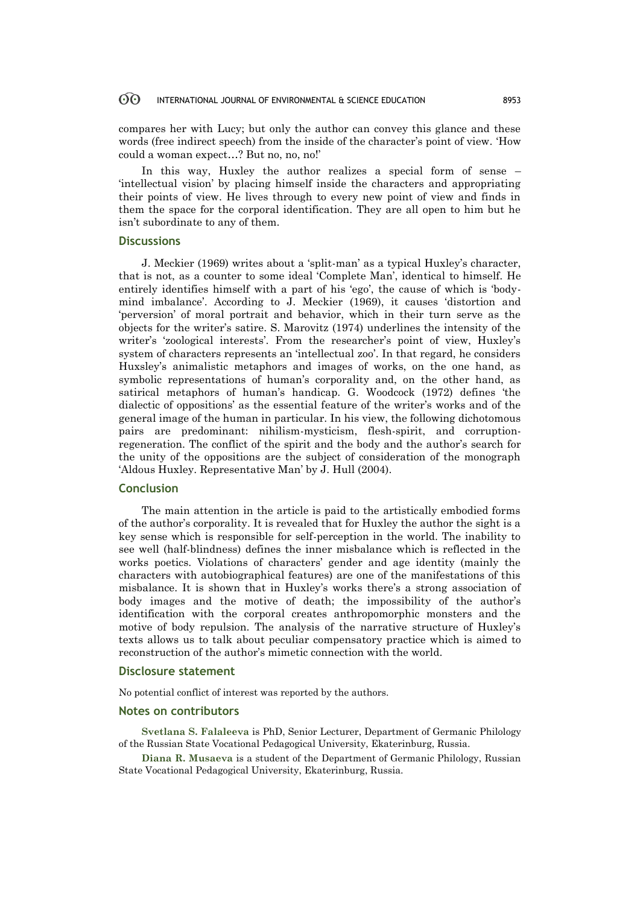#### 60 INTERNATIONAL JOURNAL OF ENVIRONMENTAL & SCIENCE EDUCATION 8953

compares her with Lucy; but only the author can convey this glance and these words (free indirect speech) from the inside of the character's point of view. 'How could a woman expect…? But no, no, no!'

In this way, Huxley the author realizes a special form of sense – 'intellectual vision' by placing himself inside the characters and appropriating their points of view. He lives through to every new point of view and finds in them the space for the corporal identification. They are all open to him but he isn't subordinate to any of them.

#### **Discussions**

J. Meckier (1969) writes about a 'split-man' as a typical Huxley's character, that is not, as a counter to some ideal 'Complete Man', identical to himself. He entirely identifies himself with a part of his 'ego', the cause of which is 'bodymind imbalance'. According to J. Meckier (1969), it causes 'distortion and 'perversion' of moral portrait and behavior, which in their turn serve as the objects for the writer's satire. S. Marovitz (1974) underlines the intensity of the writer's 'zoological interests'. From the researcher's point of view, Huxley's system of characters represents an 'intellectual zoo'. In that regard, he considers Huxsley's animalistic metaphors and images of works, on the one hand, as symbolic representations of human's corporality and, on the other hand, as satirical metaphors of human's handicap. G. Woodcock (1972) defines 'the dialectic of oppositions' as the essential feature of the writer's works and of the general image of the human in particular. In his view, the following dichotomous pairs are predominant: nihilism-mysticism, flesh-spirit, and corruptionregeneration. The conflict of the spirit and the body and the author's search for the unity of the oppositions are the subject of consideration of the monograph 'Aldous Huxley. Representative Man' by J. Hull (2004).

### **Conclusion**

The main attention in the article is paid to the artistically embodied forms of the author's corporality. It is revealed that for Huxley the author the sight is a key sense which is responsible for self-perception in the world. The inability to see well (half-blindness) defines the inner misbalance which is reflected in the works poetics. Violations of characters' gender and age identity (mainly the characters with autobiographical features) are one of the manifestations of this misbalance. It is shown that in Huxley's works there's a strong association of body images and the motive of death; the impossibility of the author's identification with the corporal creates anthropomorphic monsters and the motive of body repulsion. The analysis of the narrative structure of Huxley's texts allows us to talk about peculiar compensatory practice which is aimed to reconstruction of the author's mimetic connection with the world.

#### **Disclosure statement**

No potential conflict of interest was reported by the authors.

#### **Notes on contributors**

**Svetlana S. Falaleeva** is PhD, Senior Lecturer, Department of Germanic Philology of the Russian State Vocational Pedagogical University, Ekaterinburg, Russia.

**Diana R. Musaeva** is a student of the Department of Germanic Philology, Russian State Vocational Pedagogical University, Ekaterinburg, Russia.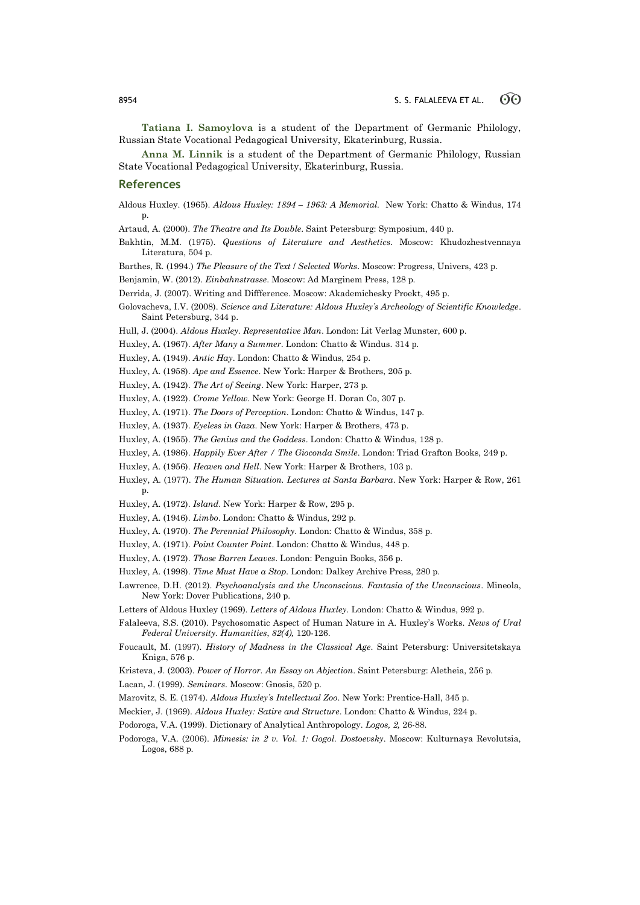**Tatiana I. Samoylova** is a student of the Department of Germanic Philology, Russian State Vocational Pedagogical University, Ekaterinburg, Russia.

**Anna M. Linnik** is a student of the Department of Germanic Philology, Russian State Vocational Pedagogical University, Ekaterinburg, Russia.

#### **References**

- Aldous Huxley. (1965). *Aldous Huxley: 1894 – 1963: A Memorial.* New York: Chatto & Windus, 174 p.
- Artaud, A. (2000). *The Theatre and Its Double*. Saint Petersburg: Symposium, 440 p.
- Bakhtin, M.M. (1975). *Questions of Literature and Aesthetics*. Moscow: Khudozhestvennaya Literatura, 504 p.

Barthes, R. (1994.) *The Pleasure of the Text* / *Selected Works*. Мoscow: Progress, Univers, 423 p.

Benjamin, W. (2012). *Einbahnstrasse*. Мoscow: Ad Marginem Press, 128 p.

Derrida, J. (2007). Writing and Diffference. Moscow: Akademichesky Proekt, 495 p.

Golovacheva, I.V. (2008). *Science and Literature: Aldous Huxley's Archeology of Scientific Knowledge*. Saint Petersburg, 344 p.

Hull, J. (2004). *Aldous Huxley. Representative Man*. London: Lit Verlag Munster, 600 p.

Huxley, A. (1967). *After Many a Summer*. London: Chatto & Windus. 314 p.

Huxley, A. (1949). *Antic Hay*. London: Chatto & Windus, 254 p.

Huxley, A. (1958). *Ape and Essence*. New York: Harper & Brothers, 205 p.

Huxley, A. (1942). *The Art of Seeing*. New York: Harper, 273 p.

Huxley, A. (1922). *Crome Yellow*. New York: George H. Doran Co, 307 p.

Huxley, A. (1971). *The Doors of Perception*. London: Chatto & Windus, 147 p.

Huxley, A. (1937). *Eyeless in Gaza*. New York: Harper & Brothers, 473 p.

- Huxley, A. (1955). *The Genius and the Goddess*. London: Chatto & Windus, 128 p.
- Huxley, A. (1986). *Happily Ever After / The Gioconda Smile*. London: Triad Grafton Books, 249 p.
- Huxley, A. (1956). *Heaven and Hell*. New York: Harper & Brothers, 103 p.
- Huxley, A. (1977). *The Human Situation. Lectures at Santa Barbara*. New York: Harper & Row, 261 p.
- Huxley, A. (1972). *Island*. New York: Harper & Row, 295 p.
- Huxley, A. (1946). *Limbo*. London: Chatto & Windus, 292 p.
- Huxley, A. (1970). *The Perennial Philosophy*. London: Chatto & Windus, 358 p.
- Huxley, A. (1971). *Point Counter Point*. London: Chatto & Windus, 448 p.
- Huxley, A. (1972). *Those Barren Leaves*. London: Penguin Books, 356 p.
- Huxley, A. (1998). *Time Must Have a Stop.* London: Dalkey Archive Press, 280 p.
- Lawrence, D.H. (2012). *Psychoanalysis and the Unconscious. Fantasia of the Unconscious*. Mineola, New York: Dover Publications, 240 p.
- Letters of Aldous Huxley (1969). *Letters of Aldous Huxley.* London: Chatto & Windus, 992 p.
- Falaleeva, S.S. (2010). Psychosomatic Aspect of Human Nature in A. Huxley's Works. *News of Ural Federal University. Humanities*, *82(4),* 120-126.
- Foucault, M. (1997). *History of Madness in the Classical Age*. Saint Petersburg: Universitetskaya Kniga, 576 p.
- Kristeva, J. (2003). *Power of Horror. An Essay on Abjection*. Saint Petersburg: Aletheia, 256 p.
- Lacan, J. (1999). *Seminars*. Moscow: Gnosis, 520 p.
- Marovitz, S. E. (1974). *Aldous Huxley's Intellectual Zoo*. New York: Prentice-Hall, 345 p.
- Meckier, J. (1969). *Aldous Huxley: Satire and Structure*. London: Chatto & Windus, 224 p.
- Podoroga, V.A. (1999). Dictionary of Analytical Anthropology. *Logos, 2,* 26-88.
- Podoroga, V.A. (2006). *Mimesis: in 2 v. Vol. 1: Gogol. Dostoevsky*. Moscow: Kulturnaya Revolutsia, Logos, 688 p.